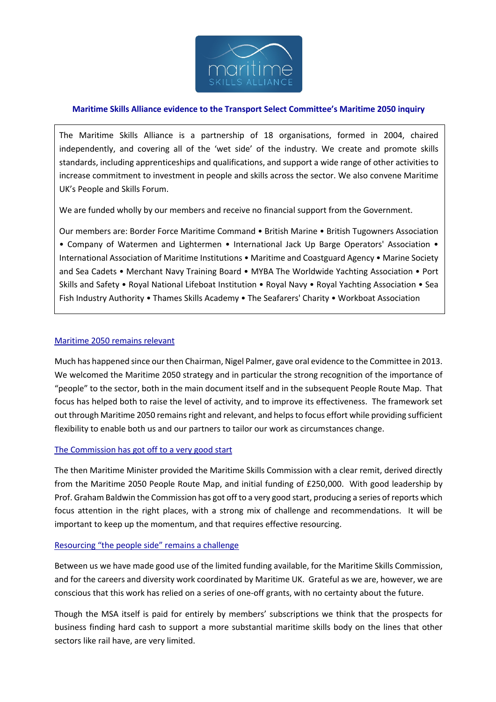

# **Maritime Skills Alliance evidence to the Transport Select Committee's Maritime 2050 inquiry**

The Maritime Skills Alliance is a partnership of 18 organisations, formed in 2004, chaired independently, and covering all of the 'wet side' of the industry. We create and promote skills standards, including apprenticeships and qualifications, and support a wide range of other activities to increase commitment to investment in people and skills across the sector. We also convene Maritime UK's People and Skills Forum.

We are funded wholly by our members and receive no financial support from the Government.

Our members are: Border Force Maritime Command • British Marine • British Tugowners Association • Company of Watermen and Lightermen • International Jack Up Barge Operators' Association • International Association of Maritime Institutions • Maritime and Coastguard Agency • Marine Society and Sea Cadets • Merchant Navy Training Board • MYBA The Worldwide Yachting Association • Port Skills and Safety • Royal National Lifeboat Institution • Royal Navy • Royal Yachting Association • Sea Fish Industry Authority • Thames Skills Academy • The Seafarers' Charity • Workboat Association

#### Maritime 2050 remains relevant

Much has happened since our then Chairman, Nigel Palmer, gave oral evidence to the Committee in 2013. We welcomed the Maritime 2050 strategy and in particular the strong recognition of the importance of "people" to the sector, both in the main document itself and in the subsequent People Route Map. That focus has helped both to raise the level of activity, and to improve its effectiveness. The framework set out through Maritime 2050 remains right and relevant, and helps to focus effort while providing sufficient flexibility to enable both us and our partners to tailor our work as circumstances change.

### The Commission has got off to a very good start

The then Maritime Minister provided the Maritime Skills Commission with a clear remit, derived directly from the Maritime 2050 People Route Map, and initial funding of £250,000. With good leadership by Prof. Graham Baldwin the Commission has got off to a very good start, producing a series of reports which focus attention in the right places, with a strong mix of challenge and recommendations. It will be important to keep up the momentum, and that requires effective resourcing.

### Resourcing "the people side" remains a challenge

Between us we have made good use of the limited funding available, for the Maritime Skills Commission, and for the careers and diversity work coordinated by Maritime UK. Grateful as we are, however, we are conscious that this work has relied on a series of one-off grants, with no certainty about the future.

Though the MSA itself is paid for entirely by members' subscriptions we think that the prospects for business finding hard cash to support a more substantial maritime skills body on the lines that other sectors like rail have, are very limited.